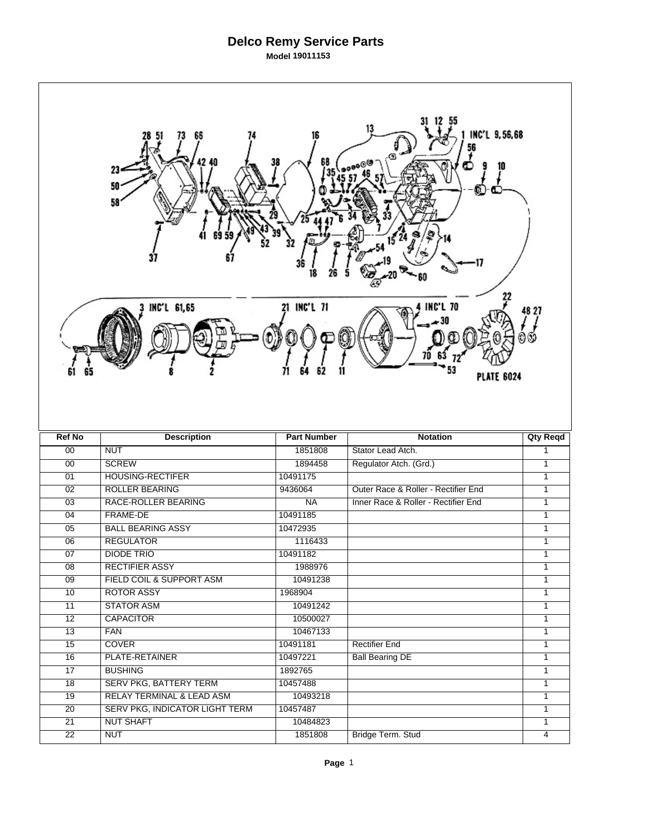## **Delco Remy Service Parts Model 19011153**

 $\Gamma$ 

| INC'L 9,56,68<br>38<br>23<br>50<br>58<br>21 INC'L 71<br><b>INC'L 70</b><br>INC'L 61,65<br>48 27<br>61 |                                                     |                      |                                     |                              |  |  |  |
|-------------------------------------------------------------------------------------------------------|-----------------------------------------------------|----------------------|-------------------------------------|------------------------------|--|--|--|
|                                                                                                       |                                                     |                      | <b>PLATE 6024</b>                   |                              |  |  |  |
| <b>Ref No</b>                                                                                         | <b>Description</b>                                  | <b>Part Number</b>   |                                     |                              |  |  |  |
|                                                                                                       |                                                     |                      | <b>Notation</b>                     | <b>Qty Reqd</b>              |  |  |  |
| 00                                                                                                    | <b>NUT</b>                                          | 1851808              | Stator Lead Atch.                   | $\mathbf{1}$                 |  |  |  |
| 00                                                                                                    | <b>SCREW</b>                                        | 1894458              | Regulator Atch. (Grd.)              | $\mathbf{1}$                 |  |  |  |
| 01                                                                                                    | <b>HOUSING-RECTIFER</b>                             | 10491175             |                                     | $\mathbf{1}$                 |  |  |  |
| $\overline{02}$                                                                                       | <b>ROLLER BEARING</b>                               | 9436064              | Outer Race & Roller - Rectifier End | $\mathbf{1}$                 |  |  |  |
| 03                                                                                                    | RACE-ROLLER BEARING                                 | <b>NA</b>            | Inner Race & Roller - Rectifier End | $\mathbf{1}$                 |  |  |  |
| 04                                                                                                    | FRAME-DE                                            | 10491185             |                                     | $\mathbf{1}$                 |  |  |  |
| $\overline{05}$                                                                                       | <b>BALL BEARING ASSY</b>                            | 10472935             |                                     | $\mathbf{1}$                 |  |  |  |
| 06                                                                                                    | <b>REGULATOR</b>                                    | 1116433              |                                     | $\mathbf{1}$                 |  |  |  |
| 07                                                                                                    | <b>DIODE TRIO</b>                                   | 10491182             |                                     | 1                            |  |  |  |
| 08                                                                                                    | <b>RECTIFIER ASSY</b>                               | 1988976              |                                     | $\mathbf{1}$                 |  |  |  |
| 09                                                                                                    | FIELD COIL & SUPPORT ASM                            | 10491238             |                                     | $\mathbf{1}$                 |  |  |  |
| 10                                                                                                    | <b>ROTOR ASSY</b>                                   | 1968904              |                                     | 1                            |  |  |  |
| $\overline{11}$                                                                                       | <b>STATOR ASM</b>                                   | 10491242             |                                     | 1                            |  |  |  |
| $\overline{12}$                                                                                       | <b>CAPACITOR</b>                                    | 10500027             |                                     | 1                            |  |  |  |
| $\overline{13}$                                                                                       | <b>FAN</b>                                          | 10467133             |                                     | 1                            |  |  |  |
| 15                                                                                                    | <b>COVER</b>                                        | 10491181             | <b>Rectifier End</b>                | $\mathbf{1}$<br>$\mathbf{1}$ |  |  |  |
| $\overline{16}$                                                                                       | PLATE-RETAINER                                      | 10497221             | <b>Ball Bearing DE</b>              | $\overline{1}$               |  |  |  |
| $\overline{17}$                                                                                       | <b>BUSHING</b>                                      | 1892765              |                                     | $\mathbf{1}$                 |  |  |  |
| 18                                                                                                    | SERV PKG, BATTERY TERM<br>RELAY TERMINAL & LEAD ASM | 10457488<br>10493218 |                                     | $\mathbf{1}$                 |  |  |  |
| $\overline{19}$                                                                                       |                                                     |                      |                                     | $\mathbf{1}$                 |  |  |  |
| $\overline{20}$<br>21                                                                                 | SERV PKG, INDICATOR LIGHT TERM<br><b>NUT SHAFT</b>  | 10457487<br>10484823 |                                     | 1                            |  |  |  |